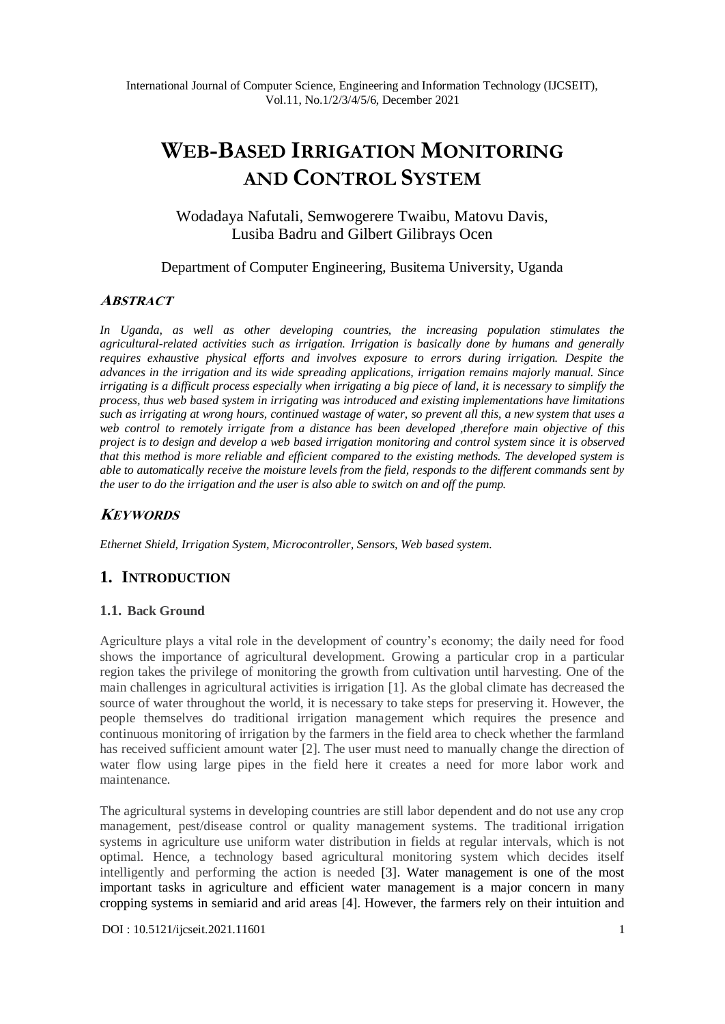# **WEB-BASED IRRIGATION MONITORING AND CONTROL SYSTEM**

Wodadaya Nafutali, Semwogerere Twaibu, Matovu Davis, Lusiba Badru and Gilbert Gilibrays Ocen

Department of Computer Engineering, Busitema University, Uganda

## **ABSTRACT**

*In Uganda, as well as other developing countries, the increasing population stimulates the agricultural-related activities such as irrigation. Irrigation is basically done by humans and generally requires exhaustive physical efforts and involves exposure to errors during irrigation. Despite the advances in the irrigation and its wide spreading applications, irrigation remains majorly manual. Since irrigating is a difficult process especially when irrigating a big piece of land, it is necessary to simplify the process, thus web based system in irrigating was introduced and existing implementations have limitations such as irrigating at wrong hours, continued wastage of water, so prevent all this, a new system that uses a web control to remotely irrigate from a distance has been developed ,therefore main objective of this project is to design and develop a web based irrigation monitoring and control system since it is observed that this method is more reliable and efficient compared to the existing methods. The developed system is able to automatically receive the moisture levels from the field, responds to the different commands sent by the user to do the irrigation and the user is also able to switch on and off the pump.*

## **KEYWORDS**

*Ethernet Shield, Irrigation System, Microcontroller, Sensors, Web based system.*

## **1. INTRODUCTION**

#### **1.1. Back Ground**

Agriculture plays a vital role in the development of country's economy; the daily need for food shows the importance of agricultural development. Growing a particular crop in a particular region takes the privilege of monitoring the growth from cultivation until harvesting. One of the main challenges in agricultural activities is irrigation [1]. As the global climate has decreased the source of water throughout the world, it is necessary to take steps for preserving it. However, the people themselves do traditional irrigation management which requires the presence and continuous monitoring of irrigation by the farmers in the field area to check whether the farmland has received sufficient amount water [2]. The user must need to manually change the direction of water flow using large pipes in the field here it creates a need for more labor work and maintenance.

The agricultural systems in developing countries are still labor dependent and do not use any crop management, pest/disease control or quality management systems. The traditional irrigation systems in agriculture use uniform water distribution in fields at regular intervals, which is not optimal. Hence, a technology based agricultural monitoring system which decides itself intelligently and performing the action is needed [3]. Water management is one of the most important tasks in agriculture and efficient water management is a major concern in many cropping systems in semiarid and arid areas [4]. However, the farmers rely on their intuition and

[DOI : 10.5121/ijcseit.2021.11601](https://doi.org/10.5121/ijcseit.2021.11601) 1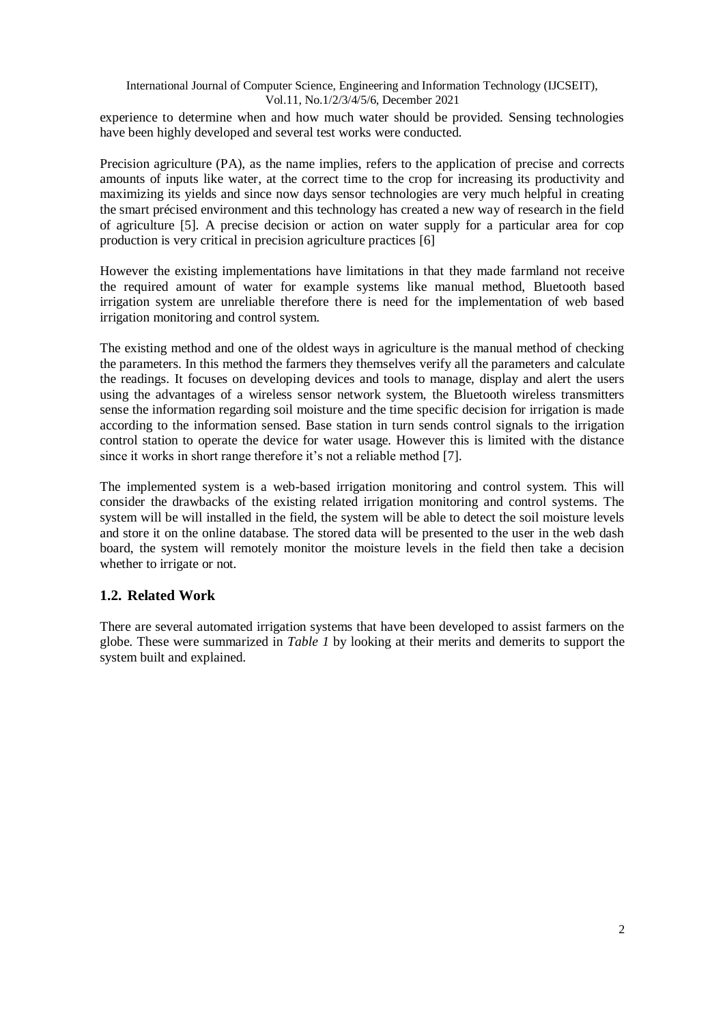experience to determine when and how much water should be provided. Sensing technologies have been highly developed and several test works were conducted.

Precision agriculture (PA), as the name implies, refers to the application of precise and corrects amounts of inputs like water, at the correct time to the crop for increasing its productivity and maximizing its yields and since now days sensor technologies are very much helpful in creating the smart précised environment and this technology has created a new way of research in the field of agriculture [5]. A precise decision or action on water supply for a particular area for cop production is very critical in precision agriculture practices [6]

However the existing implementations have limitations in that they made farmland not receive the required amount of water for example systems like manual method, Bluetooth based irrigation system are unreliable therefore there is need for the implementation of web based irrigation monitoring and control system.

The existing method and one of the oldest ways in agriculture is the manual method of checking the parameters. In this method the farmers they themselves verify all the parameters and calculate the readings. It focuses on developing devices and tools to manage, display and alert the users using the advantages of a wireless sensor network system, the Bluetooth wireless transmitters sense the information regarding soil moisture and the time specific decision for irrigation is made according to the information sensed. Base station in turn sends control signals to the irrigation control station to operate the device for water usage. However this is limited with the distance since it works in short range therefore it's not a reliable method [7].

The implemented system is a web-based irrigation monitoring and control system. This will consider the drawbacks of the existing related irrigation monitoring and control systems. The system will be will installed in the field, the system will be able to detect the soil moisture levels and store it on the online database. The stored data will be presented to the user in the web dash board, the system will remotely monitor the moisture levels in the field then take a decision whether to irrigate or not.

## **1.2. Related Work**

There are several automated irrigation systems that have been developed to assist farmers on the globe. These were summarized in *Table 1* by looking at their merits and demerits to support the system built and explained.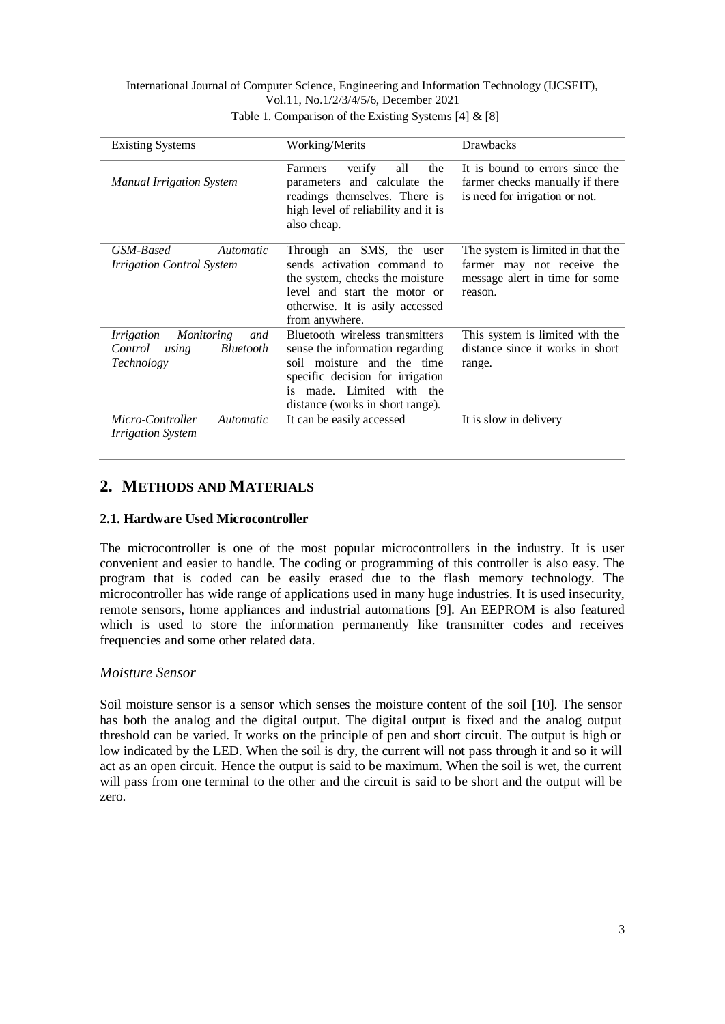International Journal of Computer Science, Engineering and Information Technology (IJCSEIT), Vol.11, No.1/2/3/4/5/6, December 2021 Table 1. Comparison of the Existing Systems [4] & [8]

| <b>Existing Systems</b>                                                                      | Working/Merits                                                                                                                                                                                            | <b>Drawbacks</b>                                                                                             |
|----------------------------------------------------------------------------------------------|-----------------------------------------------------------------------------------------------------------------------------------------------------------------------------------------------------------|--------------------------------------------------------------------------------------------------------------|
| <b>Manual Irrigation System</b>                                                              | verify<br>all<br>the<br>Farmers<br>parameters and calculate<br>the<br>readings themselves. There is<br>high level of reliability and it is<br>also cheap.                                                 | It is bound to errors since the<br>farmer checks manually if there<br>is need for irrigation or not.         |
| GSM-Based<br>Automatic<br><i>Irrigation Control System</i>                                   | Through an SMS, the user<br>sends activation command to<br>the system, checks the moisture<br>level and start the motor or<br>otherwise. It is asily accessed<br>from anywhere.                           | The system is limited in that the<br>farmer may not receive the<br>message alert in time for some<br>reason. |
| <i>Irrigation</i><br>Monitoring<br>and<br><i>Bluetooth</i><br>Control<br>using<br>Technology | Bluetooth wireless transmitters<br>sense the information regarding<br>soil moisture and the time<br>specific decision for irrigation<br>made. Limited with the<br>is.<br>distance (works in short range). | This system is limited with the<br>distance since it works in short<br>range.                                |
| Micro-Controller<br><i>Automatic</i><br><i>Irrigation System</i>                             | It can be easily accessed                                                                                                                                                                                 | It is slow in delivery                                                                                       |

## **2. METHODS AND MATERIALS**

## **2.1. Hardware Used Microcontroller**

The microcontroller is one of the most popular microcontrollers in the industry. It is user convenient and easier to handle. The coding or programming of this controller is also easy. The program that is coded can be easily erased due to the flash memory technology. The microcontroller has wide range of applications used in many huge industries. It is used insecurity, remote sensors, home appliances and industrial automations [9]. An EEPROM is also featured which is used to store the information permanently like transmitter codes and receives frequencies and some other related data.

## *Moisture Sensor*

Soil moisture sensor is a sensor which senses the moisture content of the soil [10]. The sensor has both the analog and the digital output. The digital output is fixed and the analog output threshold can be varied. It works on the principle of pen and short circuit. The output is high or low indicated by the LED. When the soil is dry, the current will not pass through it and so it will act as an open circuit. Hence the output is said to be maximum. When the soil is wet, the current will pass from one terminal to the other and the circuit is said to be short and the output will be zero.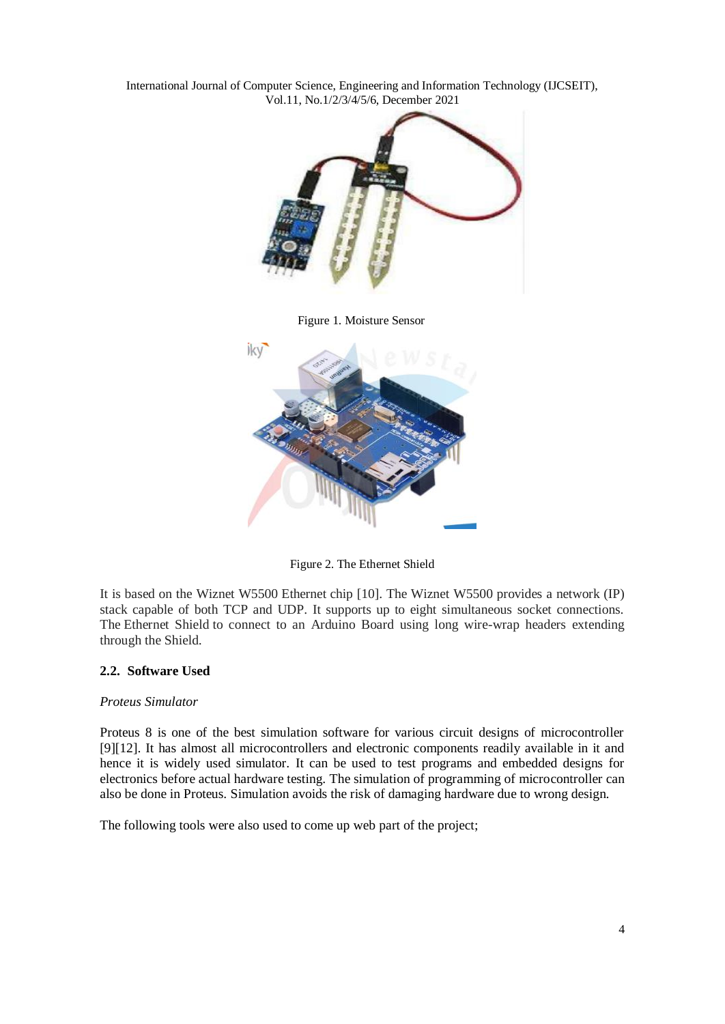



Figure 2. The Ethernet Shield

It is based on the Wiznet W5500 Ethernet chip [10]. The Wiznet W5500 provides a network (IP) stack capable of both TCP and UDP. It supports up to eight simultaneous socket connections. The Ethernet Shield to connect to an Arduino Board using long wire-wrap headers extending through the Shield.

#### **2.2. Software Used**

#### *Proteus Simulator*

Proteus 8 is one of the best simulation software for various circuit designs of microcontroller [9][12]. It has almost all microcontrollers and electronic components readily available in it and hence it is widely used simulator. It can be used to test programs and embedded designs for electronics before actual hardware testing. The simulation of programming of microcontroller can also be done in Proteus. Simulation avoids the risk of damaging hardware due to wrong design.

The following tools were also used to come up web part of the project;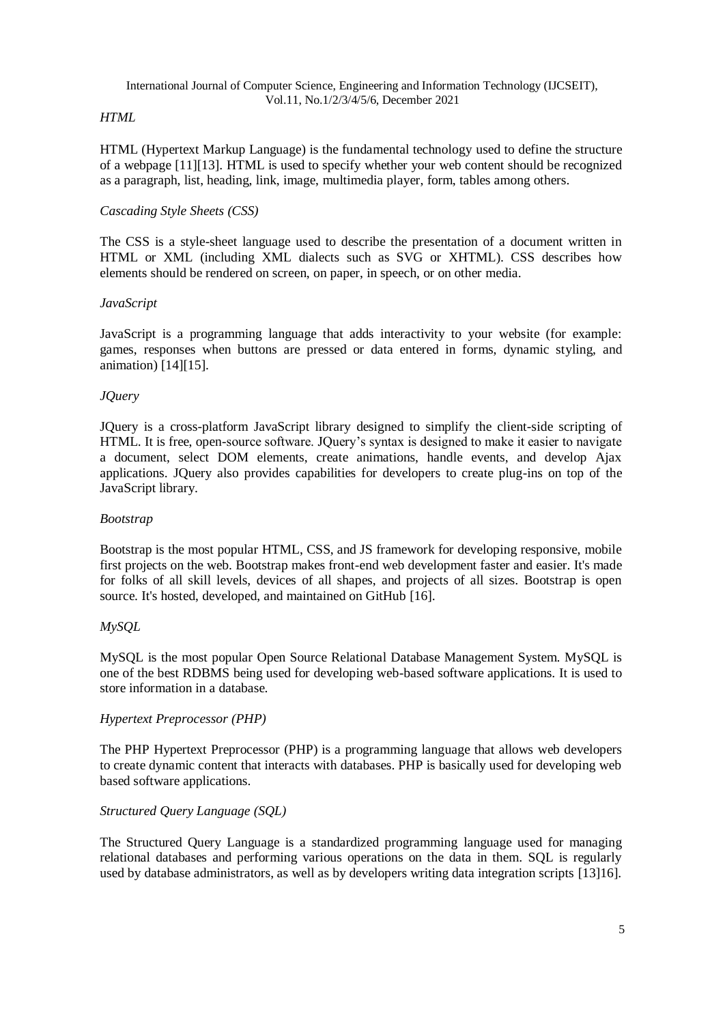#### *HTML*

HTML (Hypertext Markup Language) is the fundamental technology used to define the structure of a webpage [11][13]. HTML is used to specify whether your web content should be recognized as a paragraph, list, heading, link, image, multimedia player, form, tables among others.

#### *Cascading Style Sheets (CSS)*

The CSS is a style-sheet language used to describe the presentation of a document written in HTML or XML (including XML dialects such as SVG or XHTML). CSS describes how elements should be rendered on screen, on paper, in speech, or on other media.

#### *JavaScript*

JavaScript is a programming language that adds interactivity to your website (for example: games, responses when buttons are pressed or data entered in forms, dynamic styling, and animation) [14][15].

#### *JQuery*

JQuery is a cross-platform JavaScript library designed to simplify the client-side scripting of HTML. It is free, open-source software. JQuery's syntax is designed to make it easier to navigate a document, select DOM elements, create animations, handle events, and develop Ajax applications. JQuery also provides capabilities for developers to create plug-ins on top of the JavaScript library.

#### *Bootstrap*

Bootstrap is the most popular HTML, CSS, and JS framework for developing responsive, mobile first projects on the web. Bootstrap makes front-end web development faster and easier. It's made for folks of all skill levels, devices of all shapes, and projects of all sizes. Bootstrap is open source. It's hosted, developed, and maintained on GitHub [16].

#### *MySQL*

MySQL is the most popular Open Source Relational Database Management System. MySQL is one of the best RDBMS being used for developing web-based software applications. It is used to store information in a database.

#### *Hypertext Preprocessor (PHP)*

The PHP Hypertext Preprocessor (PHP) is a programming language that allows web developers to create dynamic content that interacts with databases. PHP is basically used for developing web based software applications.

#### *Structured Query Language (SQL)*

The Structured Query Language is a standardized programming language used for managing relational databases and performing various operations on the data in them. SQL is regularly used by database administrators, as well as by developers writing data integration scripts [13]16].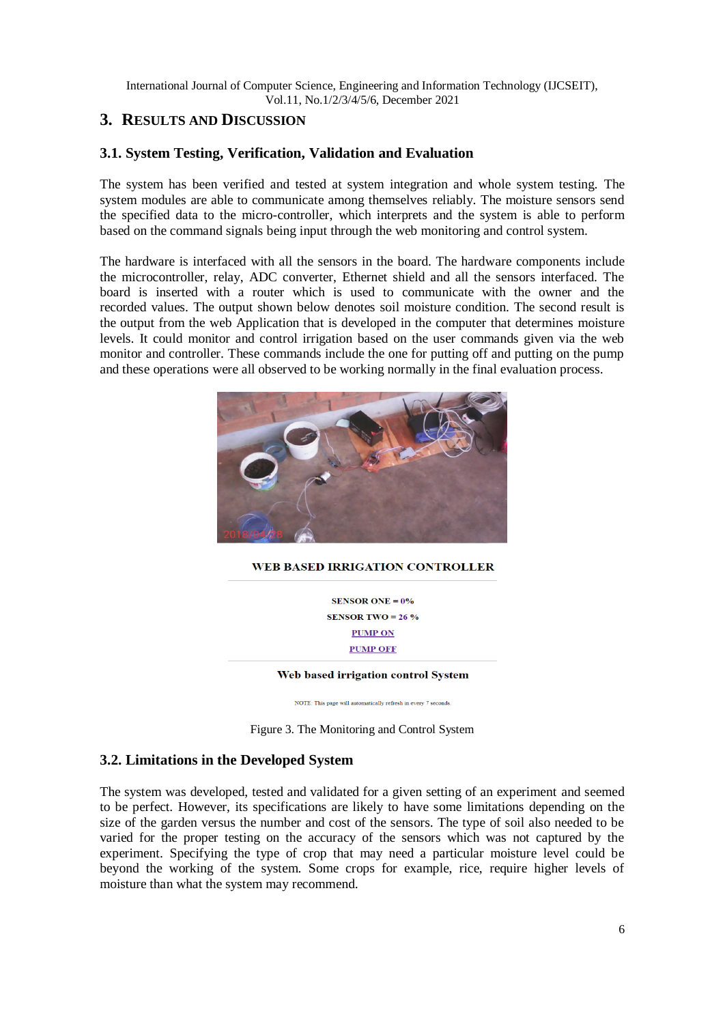## **3. RESULTS AND DISCUSSION**

### **3.1. System Testing, Verification, Validation and Evaluation**

The system has been verified and tested at system integration and whole system testing. The system modules are able to communicate among themselves reliably. The moisture sensors send the specified data to the micro-controller, which interprets and the system is able to perform based on the command signals being input through the web monitoring and control system.

The hardware is interfaced with all the sensors in the board. The hardware components include the microcontroller, relay, ADC converter, Ethernet shield and all the sensors interfaced. The board is inserted with a router which is used to communicate with the owner and the recorded values. The output shown below denotes soil moisture condition. The second result is the output from the web Application that is developed in the computer that determines moisture levels. It could monitor and control irrigation based on the user commands given via the web monitor and controller. These commands include the one for putting off and putting on the pump and these operations were all observed to be working normally in the final evaluation process.



#### **WEB BASED IRRIGATION CONTROLLER**

**SENSOR ONE =**  $0\%$ SENSOR TWO =  $26\%$ **PUMP ON PUMP OFF** 

#### Web based irrigation control System

NOTE: This page will automatically refresh in every 7 seconds.

Figure 3. The Monitoring and Control System

#### **3.2. Limitations in the Developed System**

The system was developed, tested and validated for a given setting of an experiment and seemed to be perfect. However, its specifications are likely to have some limitations depending on the size of the garden versus the number and cost of the sensors. The type of soil also needed to be varied for the proper testing on the accuracy of the sensors which was not captured by the experiment. Specifying the type of crop that may need a particular moisture level could be beyond the working of the system. Some crops for example, rice, require higher levels of moisture than what the system may recommend.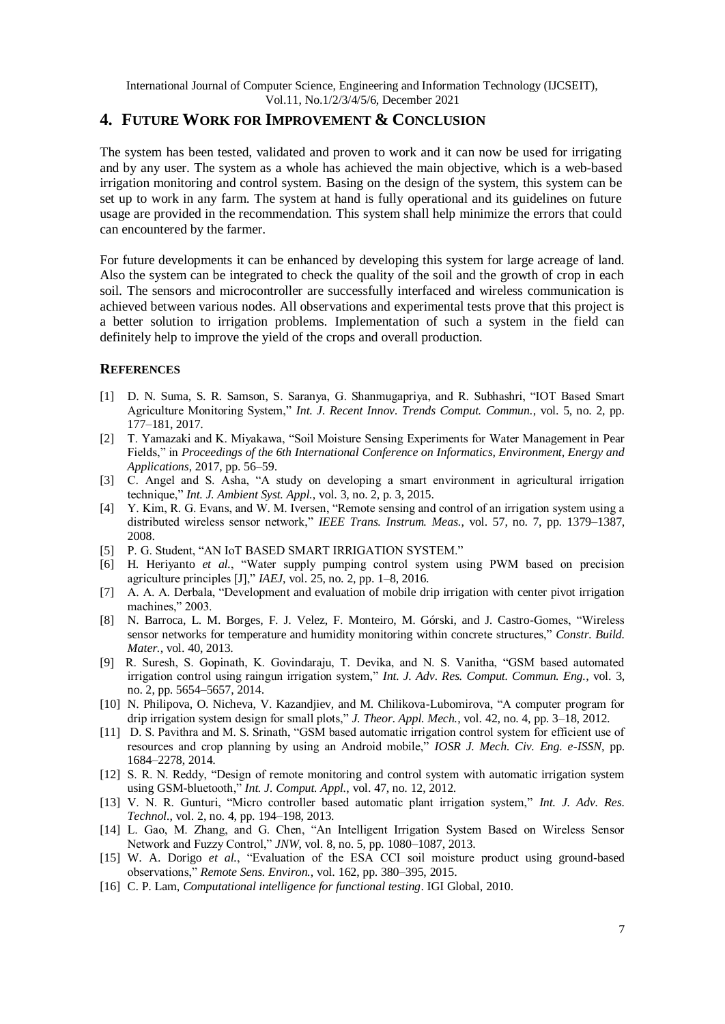## **4. FUTURE WORK FOR IMPROVEMENT & CONCLUSION**

The system has been tested, validated and proven to work and it can now be used for irrigating and by any user. The system as a whole has achieved the main objective, which is a web-based irrigation monitoring and control system. Basing on the design of the system, this system can be set up to work in any farm. The system at hand is fully operational and its guidelines on future usage are provided in the recommendation. This system shall help minimize the errors that could can encountered by the farmer.

For future developments it can be enhanced by developing this system for large acreage of land. Also the system can be integrated to check the quality of the soil and the growth of crop in each soil. The sensors and microcontroller are successfully interfaced and wireless communication is achieved between various nodes. All observations and experimental tests prove that this project is a better solution to irrigation problems. Implementation of such a system in the field can definitely help to improve the yield of the crops and overall production.

#### **REFERENCES**

- [1] D. N. Suma, S. R. Samson, S. Saranya, G. Shanmugapriya, and R. Subhashri, "IOT Based Smart Agriculture Monitoring System," *Int. J. Recent Innov. Trends Comput. Commun.*, vol. 5, no. 2, pp. 177–181, 2017.
- [2] T. Yamazaki and K. Miyakawa, "Soil Moisture Sensing Experiments for Water Management in Pear Fields," in *Proceedings of the 6th International Conference on Informatics, Environment, Energy and Applications*, 2017, pp. 56–59.
- [3] C. Angel and S. Asha, "A study on developing a smart environment in agricultural irrigation technique," *Int. J. Ambient Syst. Appl.*, vol. 3, no. 2, p. 3, 2015.
- [4] Y. Kim, R. G. Evans, and W. M. Iversen, "Remote sensing and control of an irrigation system using a distributed wireless sensor network," *IEEE Trans. Instrum. Meas.*, vol. 57, no. 7, pp. 1379–1387, 2008.
- [5] P. G. Student, "AN IoT BASED SMART IRRIGATION SYSTEM."
- [6] H. Heriyanto *et al.*, "Water supply pumping control system using PWM based on precision agriculture principles [J]," *IAEJ*, vol. 25, no. 2, pp. 1–8, 2016.
- [7] A. A. A. Derbala, "Development and evaluation of mobile drip irrigation with center pivot irrigation machines," 2003.
- [8] N. Barroca, L. M. Borges, F. J. Velez, F. Monteiro, M. Górski, and J. Castro-Gomes, "Wireless sensor networks for temperature and humidity monitoring within concrete structures," *Constr. Build. Mater.*, vol. 40, 2013.
- [9] R. Suresh, S. Gopinath, K. Govindaraju, T. Devika, and N. S. Vanitha, "GSM based automated irrigation control using raingun irrigation system," *Int. J. Adv. Res. Comput. Commun. Eng.*, vol. 3, no. 2, pp. 5654–5657, 2014.
- [10] N. Philipova, O. Nicheva, V. Kazandjiev, and M. Chilikova-Lubomirova, "A computer program for drip irrigation system design for small plots," *J. Theor. Appl. Mech.*, vol. 42, no. 4, pp. 3–18, 2012.
- [11] D. S. Pavithra and M. S. Srinath, "GSM based automatic irrigation control system for efficient use of resources and crop planning by using an Android mobile," *IOSR J. Mech. Civ. Eng. e-ISSN*, pp. 1684–2278, 2014.
- [12] S. R. N. Reddy, "Design of remote monitoring and control system with automatic irrigation system using GSM-bluetooth," *Int. J. Comput. Appl.*, vol. 47, no. 12, 2012.
- [13] V. N. R. Gunturi, "Micro controller based automatic plant irrigation system," *Int. J. Adv. Res. Technol.*, vol. 2, no. 4, pp. 194–198, 2013.
- [14] L. Gao, M. Zhang, and G. Chen, "An Intelligent Irrigation System Based on Wireless Sensor Network and Fuzzy Control," *JNW*, vol. 8, no. 5, pp. 1080–1087, 2013.
- [15] W. A. Dorigo *et al.*, "Evaluation of the ESA CCI soil moisture product using ground-based observations," *Remote Sens. Environ.*, vol. 162, pp. 380–395, 2015.
- [16] C. P. Lam, *Computational intelligence for functional testing*. IGI Global, 2010.